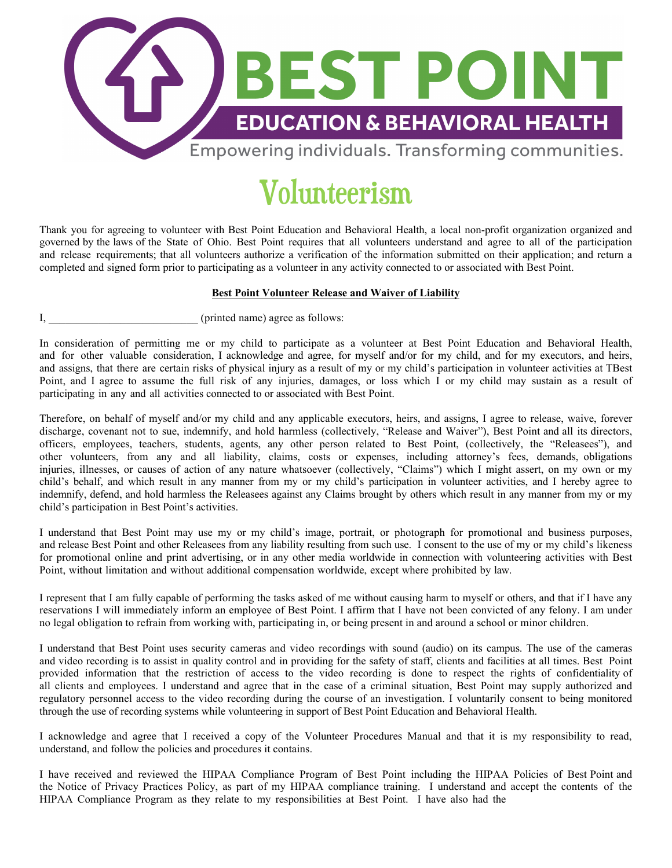

## Volunteerism

Thank you for agreeing to volunteer with Best Point Education and Behavioral Health, a local non-profit organization organized and governed by the laws of the State of Ohio. Best Point requires that all volunteers understand and agree to all of the participation and release requirements; that all volunteers authorize a verification of the information submitted on their application; and return a completed and signed form prior to participating as a volunteer in any activity connected to or associated with Best Point.

## **Best Point Volunteer Release and Waiver of Liability**

I, contract the printed name) agree as follows:

In consideration of permitting me or my child to participate as a volunteer at Best Point Education and Behavioral Health, and for other valuable consideration, I acknowledge and agree, for myself and/or for my child, and for my executors, and heirs, and assigns, that there are certain risks of physical injury as a result of my or my child's participation in volunteer activities at TBest Point, and I agree to assume the full risk of any injuries, damages, or loss which I or my child may sustain as a result of participating in any and all activities connected to or associated with Best Point.

Therefore, on behalf of myself and/or my child and any applicable executors, heirs, and assigns, I agree to release, waive, forever discharge, covenant not to sue, indemnify, and hold harmless (collectively, "Release and Waiver"), Best Point and all its directors, officers, employees, teachers, students, agents, any other person related to Best Point, (collectively, the "Releasees"), and other volunteers, from any and all liability, claims, costs or expenses, including attorney's fees, demands, obligations injuries, illnesses, or causes of action of any nature whatsoever (collectively, "Claims") which I might assert, on my own or my child's behalf, and which result in any manner from my or my child's participation in volunteer activities, and I hereby agree to indemnify, defend, and hold harmless the Releasees against any Claims brought by others which result in any manner from my or my child's participation in Best Point's activities.

I understand that Best Point may use my or my child's image, portrait, or photograph for promotional and business purposes, and release Best Point and other Releasees from any liability resulting from such use. I consent to the use of my or my child's likeness for promotional online and print advertising, or in any other media worldwide in connection with volunteering activities with Best Point, without limitation and without additional compensation worldwide, except where prohibited by law.

I represent that I am fully capable of performing the tasks asked of me without causing harm to myself or others, and that if I have any reservations I will immediately inform an employee of Best Point. I affirm that I have not been convicted of any felony. I am under no legal obligation to refrain from working with, participating in, or being present in and around a school or minor children.

I understand that Best Point uses security cameras and video recordings with sound (audio) on its campus. The use of the cameras and video recording is to assist in quality control and in providing for the safety of staff, clients and facilities at all times. Best Point provided information that the restriction of access to the video recording is done to respect the rights of confidentiality of all clients and employees. I understand and agree that in the case of a criminal situation, Best Point may supply authorized and regulatory personnel access to the video recording during the course of an investigation. I voluntarily consent to being monitored through the use of recording systems while volunteering in support of Best Point Education and Behavioral Health.

I acknowledge and agree that I received a copy of the Volunteer Procedures Manual and that it is my responsibility to read, understand, and follow the policies and procedures it contains.

I have received and reviewed the HIPAA Compliance Program of Best Point including the HIPAA Policies of Best Point and the Notice of Privacy Practices Policy, as part of my HIPAA compliance training. I understand and accept the contents of the HIPAA Compliance Program as they relate to my responsibilities at Best Point. I have also had the